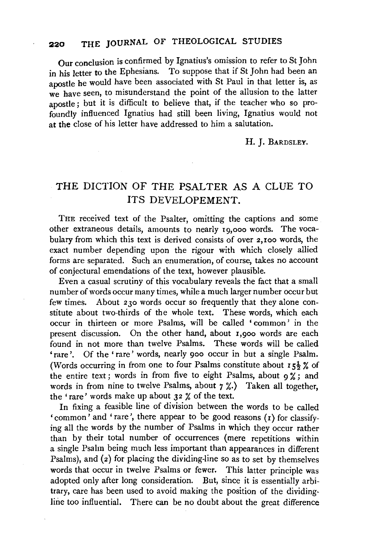Our conclusion is confirmed by Ignatius's omission to refer to St John in his letter to the Ephesians. To suppose that if St John had been an apostle he would have been associated with St Paul in that letter is, as we have seen, to misunderstand the point of the allusion to the latter apostle; but it is difficult to believe that, if the teacher who so profoundly influenced Ignatius had still been living, Ignatius would not at the close of his letter have addressed to him a salutation.

#### H. J. BARDSLEY.

## THE DICTION OF THE PSALTER AS A CLUE TO ITS DEVELOPEMENT.

THE received text of the Psalter, omitting the captions and some other extraneous details, amounts to nearly 19,000 words. The vocabulary from which this text is derived consists of over 2,roo words, the exact number depending upon the rigour with which closely allied forms are separated. Such an enumeration, of course, takes no account of conjectural emendations of the text, however plausible.

Even a casual scrutiny of this vocabulary reveals the fact that a small number of words occur many times, while a much larger number occur but few times. About 230 words occur so frequently that they alone constitute about two-thirds of the whole text. These words, which each occur in thirteen or more Psalms, will be called 'common' in the present discussion. On the other hand, about 1,000 words are each found in not more than twelve Psalms. These words will be called 'rare'. Of the 'rare' words, nearly 900 occur in but a single Psalm. (Words occurring in from one to four Psalms constitute about  $15\frac{1}{2}$  % of the entire text; words in from five to eight Psalms, about  $9\%$ ; and words in from nine to twelve Psalms, about  $7\%$ . Taken all together, the 'rare' words make up about 32 % of the text.

In fixing a feasible line of division between the words to be called 'common' and ' rare', there appear to be good reasons  $(r)$  for classifying all the words by the number of Psalms in which they occur rather than by their total number of occurrences (mere repetitions within a single Psalm being much less important than appearances in different Psalms), and (2) for placing the dividing-line so as to set by themselves words that occur in twelve Psalms or fewer. This latter principle was adopted only after long consideration. But, since it is essentially arbitrary, care has been used to avoid making the position of the dividingline too influential. There can be no doubt about the great difference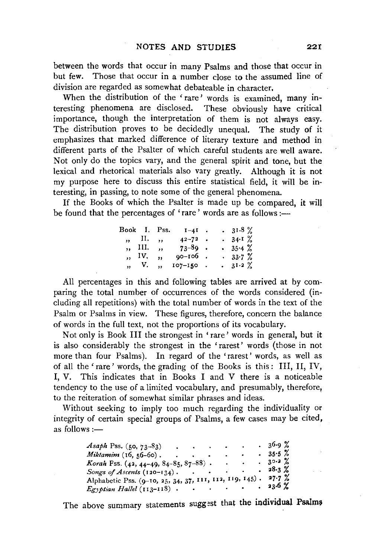between the words that occur in many Psalms and those that occur in but few. Those that occur in a number close to the assumed line of division are regarded as somewhat debateable in character.

When the distribution of the 'rare' words is examined, many interesting phenomena are disclosed. These obviously have critical importance, though the interpretation of them is not always easy. The distribution proves to be decidedly unequal. The study of it emphasizes that marked difference of literary texture and method in different parts of the Psalter of which careful students are well aware. Not only do the topics vary, and the general spirit and tone, but the lexical and rhetorical materials also vary greatly. Although it is not my purpose here to discuss this entire statistical field, it will be interesting, in passing, to note some of the general phenomena.

If the Books of which the Psalter is made up be compared, it will be found that the percentages of 'rare' words are as follows :-

| Book I. Pss. |            |                      | $I-4I$ .      |  | .31.8%            |
|--------------|------------|----------------------|---------------|--|-------------------|
|              | ", II.,    |                      | $42 - 72$ .   |  | .34.1%            |
|              | ,, III. ,, |                      | 73-89.        |  | .35.4%            |
|              | ,, IV.     | ٠,                   | $00-106$ .    |  | .33.7%            |
|              | " v.       | $\ddot{\phantom{a}}$ | $107 - 150$ . |  | $. \quad 31.2 \%$ |
|              |            |                      |               |  |                   |

All percentages in this and following tables are arrived at by comparing the total number of occurrences of the words considered (including all repetitions) with the total number of words in the text of the Psalm or Psalms in view. These figures, therefore, concern the balance of words in the full text, not the proportions of its vocabulary.

Not only is Book III the strongest in ' rare ' words in general, but it is also considerably the strongest in the 'rarest' words (those in not more than four Psalms). In regard of the 'rarest' words, as well as of all the 'rare' words, the grading of the Books is this: III, II, IV, I, V. This indicates that in Books I and V there is a noticeable tendency to the use of a limited vocabulary, and presumably, therefore, to the reiteration of somewhat similar phrases and ideas.

Without seeking to imply too much regarding the individuality or integrity of certain special groups of Psalms, a few cases may be cited, as follows  $:=$ 

| <i>Asaph</i> Pss. (50, 73–83)                           | $\bullet$ |   |  | $.369\%$  |
|---------------------------------------------------------|-----------|---|--|-----------|
| <i>Miktamim</i> (16, 56-60) .                           |           |   |  | .35.5%    |
| Korah Pss. (42, 44-49, 84-85, 87-88) •                  |           |   |  | $.302\%$  |
| Songs of Ascents (120–134) .                            |           |   |  | . 28.3%   |
| Alphabetic Pss. (9-10, 25, 34, 37, 111, 112, 119, 145). |           |   |  | $27.7\%$  |
| Egyptian Hallel (113-118)).                             |           | ٠ |  | $23.6 \%$ |

The above summary statements suggest that the individual Psalms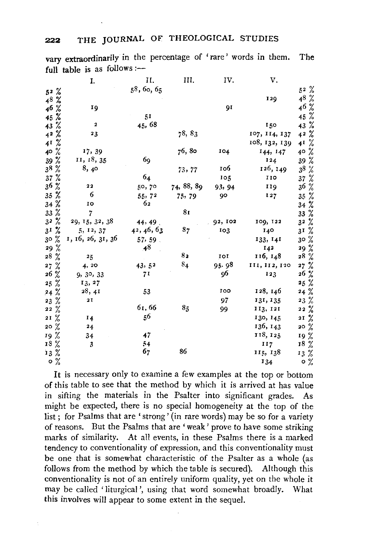ry extraordinarily in the percentage of 'rare' words in them. The full table is as follows :-

|                     | I.                      | н.         | Ш.             | IV.     | v.            |                    |
|---------------------|-------------------------|------------|----------------|---------|---------------|--------------------|
| $52 \%$             |                         | 58, 60, 65 |                |         |               | $52 \%$            |
| %<br>48             |                         |            |                |         | 129           | $48 \%$            |
| 46 %                | 19                      |            |                | 91      |               | 46%                |
| $\frac{9}{6}$<br>45 |                         | 51         |                |         |               | 45 %               |
| 43 %                | $\overline{\mathbf{2}}$ | 45, 68     |                |         | 150           | 43 %               |
| $42 \%$             | 23                      |            | 78, 83         |         | 107, 114, 137 | $42 \%$            |
| $4^{1}$ %           |                         |            |                |         | 108, 132, 139 | 4 <sup>I</sup> $%$ |
| 40%                 | 17, 39                  |            | 76, 80         | 104     | 144, 147      | $40\%$             |
| %<br>39             | 11, 18, 35              | 69         |                |         | 124           | 39 %               |
| $3^8$ %             | 8,40                    |            | 73,77          | 106     | 126, 149      | $3^8$ %            |
| 37 %                |                         | 64         |                | 105     | 110           | 37%                |
| $36 \%$             | 22                      | 50, 70     | 74, 88, 89     | 93, 94  | 119           | 36 %               |
| $35\%$              | 6                       | 55, 72     | 75, 79         | 90      | 127           | $35\%$             |
| %<br>34             | IO                      | 62         |                |         |               | $34 \%$            |
| 33 %                | $\overline{7}$          |            | 8 <sub>1</sub> |         |               | 33 %               |
| $32$ %              | 29, 15, 32, 38          | 44, 49     |                | 92, 102 | 109, 122      | $3^{2}$ %          |
| $3^{1}$ %           | 5, 12, 37               | 42, 46, 63 | 87             | 103     | 140           | $3^{\rm T}$ %      |
| 30 %                | 1, 16, 26, 31, 36       | $57.59$ .  |                |         | 133, 141      | 30 <sub>%</sub>    |
| 29%                 |                         | 48         |                |         | 142           | 29%                |
| $28 \%$             | 25                      |            | 82             | IOI     | 116, 148      | $28\%$             |
| 27%                 | 4, 20                   | 43, 52     | $\bf 8_4$      | 95.98   | III, II2, 120 | 27%                |
| 26 %                | 9, 30, 33               | 71         |                | 96      | 123           | 26 %               |
| %<br>$25^{\circ}$   | 13, 27                  |            |                |         |               | $25 \%$            |
| 24%                 | 28, 41                  | 53         |                | 700     | 128, 146      | 24%                |
| 23 %                | 2I                      |            |                | 97      | 131, 135      | $23 \%$            |
| $22 \%$             |                         | 61, 66     | 8 <sub>5</sub> | 99      | 113, 121      | $22 \%$            |
| 21%                 | 14                      | 56         |                |         | 130, 145      | 21 %               |
| $20\%$              | 24                      |            |                |         | 136, 143      | $20\frac{9}{6}$    |
| $19\%$              | 34                      | 47         |                |         | 118, 125      | 19%                |
| 18%                 | 3                       | 54         |                |         | II7           | 18%                |
| 13%                 |                         | 67         | 86             |         | 115, 138      | 13%                |
| $\circ$ %           |                         |            |                |         | 134           | $\circ \, \%$      |
|                     |                         |            |                |         |               |                    |

It is necessary only to examine a lew examples at the top or bottom of this table to see that the method by which it is arrived at has value in sifting the materials in the Psalter into significant grades. As might be expected, there is no special homogeneity at the top of the list; for Psalms that are 'strong' (in rare words) may be so for a variety of reasons. But the Psalms that are 'weak' prove to have some striking marks of similarity. At all events, in these Psalms there is a marked tendency to conventionality of expression, and this conventionality must be one that is somewhat characteristic of the Psalter as a whole (as follows from the method by which the table is secured). Although this conventionality is not of an entirely uniform quality, yet on the whole it may be called 'liturgical', using that word somewhat broadly. What this involves will appear to some extent in the sequel.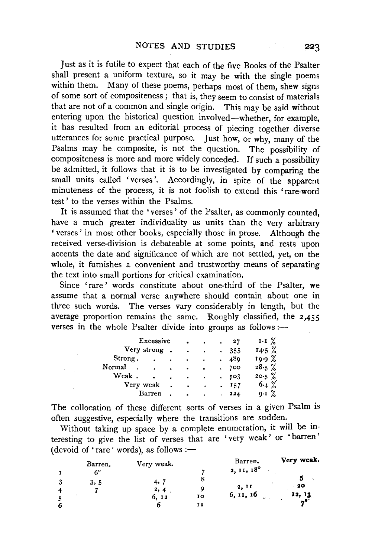Just as it is futile to expect that each of the five Books of the Psalter shall present a uniform texture, so it may be with the single poems within them. Many of these poems, perhaps most of them, shew signs of some sort of compositeness ; that is, they seem to consist of materials that are not of a common and single origin. This may be said without entering upon the historical question involved-whether, for example, it has resulted from an editorial process of piecing together diverse utterances for some practical purpose. Just how, or why, many of the Psalms may be composite, is not the question. The possibility of compositeness is more and more widely conceded. If such a possibility be admitted, it follows that it is to be investigated by comparing the small units called 'verses'. Accordingly, in spite of the apparent minuteness of the process, it is not foolish to extend this 'rare-word test ' to the verses within the Psalms.

It is assumed that the 'verses' of the Psalter, as commonly counted, have a much greater individuality as units than the very arbitrary ' verses ' in most other books, especially those in prose. Although the received verse-division is debateable at some points, and rests upon accents the date and significance of which are not settled, yet, on the whole, it furnishes a convenient and trustworthy means of separating the text into small portions for critical examination.

Since 'rare' words constitute about one-third of the Psalter, we assume that a normal verse anywhere should contain about one in three such words. The verses vary considerably in length, but the average proportion remains the same. Roughly classified, the 2 ,455 verses in the whole Psalter divide into groups as follows :-

|         | Excessive            |           | $\blacksquare$ | $\bullet$            | $\bullet$ | 27  | $1.1\%$   |
|---------|----------------------|-----------|----------------|----------------------|-----------|-----|-----------|
|         | Very strong.         |           | ٠              | ٠                    | ä,        | 355 | $14.5 \%$ |
| Strong. | $\bullet$            | $\bullet$ | ٠              |                      | ٠         | 489 | 10.9%     |
| Normal  | $\ddot{\phantom{a}}$ | $\bullet$ | ٠              | ٠                    |           | 700 | $28.5 \%$ |
| Weak .  |                      | ٠         | ٠              | $\ddot{\phantom{0}}$ | $\cdot$ . | 503 | $20.5 \%$ |
|         | Very weak            |           |                |                      |           | 157 | $6.4 \%$  |
|         | Barren               |           | ٠              | ٠                    | ä,        | 224 | 9.1%      |

The collocation of these different sorts of verses in a given Psalm is often suggestive, especially where the transitions are sudden.

Without taking up space by a complete enumeration, it will be interesting to give the list of verses that are 'very weak' or 'barren' (devoid of 'rare' words), as follows : $-$ 

| Barren. | Very weak. |    | Barren.                    | Very weak.     |
|---------|------------|----|----------------------------|----------------|
|         |            |    | 2, 11, 18°                 |                |
| 3, 5    | 4, 7       |    |                            |                |
|         | 2, 4       |    | 2, 11                      | 20             |
|         | 6, 12      | IO | 6, 11, 16<br>i Anggris Leo | 12, I3<br>۰. ه |
|         |            |    |                            |                |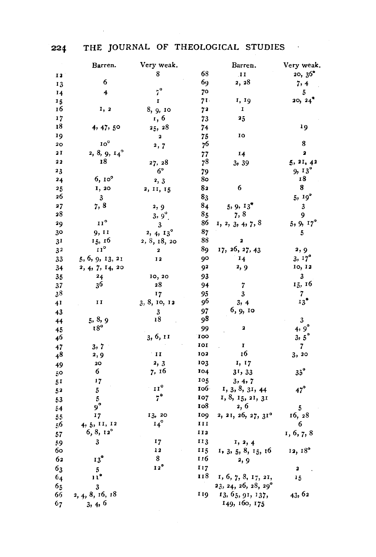$\sim 10$ 

**224 THE** JOURNAL OF THEOLOGICAL STUDIES

|                | Barren.               | Very weak.                 |      | Barren.                      | Very weak.              |
|----------------|-----------------------|----------------------------|------|------------------------------|-------------------------|
| 12             |                       | 8                          | 68   | $\mathbf{H}$                 | 20, 36°                 |
| 13             | 6                     |                            | 69   | 2, 28                        | 7,4                     |
| 14             | 4                     | $7^\circ$                  | 70   |                              | 5                       |
| 15             |                       | 1                          | 71.  | 1, 19                        | $20, 24$ <sup>9</sup>   |
| 16             | 1, 2                  | 8, 9, 10                   | 72   | I                            |                         |
| 17             |                       | 1, 6                       | 73   | 25                           |                         |
| 18             | 4, 47, 50             | 25, 28                     | 74   |                              | 19                      |
| 19             |                       | $\mathbf{2}$               | 75   | 10                           |                         |
| 20             | $10^0$                | 2, 7                       | 76   |                              | 8                       |
| 21             | $2, 8, 9, 14^{\circ}$ |                            | 77   | 14                           | $\overline{\mathbf{2}}$ |
| 22             | 18                    | 27, 28                     | 78   | 3,39                         | 5, 21, 42               |
| 23             |                       | $6^{\circ}$                | 79   |                              | 9, 13°                  |
| 24             | 6, 10°                | 2, 3                       | 80   |                              | 18                      |
| 25             | 1, 20                 | 2, 11, 15                  | 82   | 6                            | 8                       |
| 26             | 3                     |                            | 83   |                              | $5, 19^{\circ}$         |
| 27             | 7, 8                  | 2, 9                       | 84   | $5, 9, 13$ *                 | 3                       |
| 28             |                       | $3, 9^{\circ}$             | 85   | 7, 8                         | 9                       |
| 29             | $11^{\circ}$          | 3                          | 86   | 1, 2, 3, 4, 7, 8             | 5, 9, 17°               |
| 30             | 9, 11                 | $2, 4, 13^{\circ}$         | 87   |                              | 5                       |
| 31             | 15, 16                | 2, 8, 18, 20               | 88   | 2                            |                         |
| 3 <sup>2</sup> | $11^{\circ}$          | $\overline{\mathbf{2}}$    | 89   | 17, 26, 27, 43               | 2, 9                    |
| 33             | 5, 6, 9, 13, 21       | 12                         | 90   | 14                           | $3.17^{\circ}$          |
| 34             | 2, 4, 7, 14, 20       |                            | 92   | 2, 9                         | 10, 12                  |
| 35             | 24                    | 10, 20                     | 93   |                              | 3                       |
| 37             | 36                    | 28                         | 94   | 7                            | 15, 16                  |
| 38             |                       | 17                         | 95   | 3                            | 7                       |
| 41             | 11                    | 3, 8, 10, 12               | 96   | 3, 4                         | $13^{\circ}$            |
|                |                       | 3                          | 97   | 6, 9, 10                     |                         |
| 43             | 5, 8, 9               | 18                         | 98   |                              | 3                       |
| 44<br>45       | 18°                   |                            | 99   | 2                            | $4, 9^{\circ}$          |
| 46             |                       | 3, 6, 11                   | 100  |                              | $3, 5^\circ$            |
| 47             | 3, 7                  |                            | IOI  | I                            | $\overline{7}$          |
| 48             | 2, 9                  | $\mathbf{H}$               | 102  | 16                           | 3, 20                   |
|                | 20                    | 2, 3                       | 103  | 1, 17                        |                         |
| 49<br>50       | 6                     | 7, 16                      | 104  | 31, 33                       | $35^{\circ}$            |
| 51             | 17                    |                            | 105  | 3, 4, 7                      |                         |
| 52             | 5                     | $\mathbf{II}^{\mathbf{0}}$ | 106- | 1, 3, 8, 31, 44              | $47^{\circ}$            |
| 53             | 5                     | $7^\circ$                  | 107  | 1, 8, 15, 21, 31             |                         |
| 54             | $9^{\circ}$           |                            | 108. | 2, 6                         | 5                       |
| 55             | 17                    | 13, 20                     | 109  | 2, 21, 26, 27, 31°           | 16, 28                  |
| 56             | 4, 5, 11, 12          | $I_4^\circ$                | 111  |                              | 6                       |
| 57             | $6, 8, 12^{\circ}$    |                            | II2  |                              | 1, 6, 7, 8              |
| 59             | 3                     | 17                         | 113  | 1, 2, 4                      |                         |
| 60             |                       | 12                         | 115  | 1, 3, 5, 8, 15, 16           | 12, 18°                 |
| 62             | $13^{\circ}$          | 8                          | 116  | 2, 9                         |                         |
| 63             | 5                     | I2°                        | 117  |                              | 2                       |
| 6 <sub>4</sub> | ıı°                   |                            | 118  | 1, 6, 7, 8, 17, 21,          | 15                      |
| 65             | 3                     |                            |      | $23, 24, 26, 28, 29^{\circ}$ |                         |
| 66             | 2, 4, 8, 16, 18       |                            | 119  | 13, 65, 91, 137,             | 43, 62                  |
| 67             | 3, 4, 6               |                            |      | 149, 160, 175                |                         |
|                |                       |                            |      |                              |                         |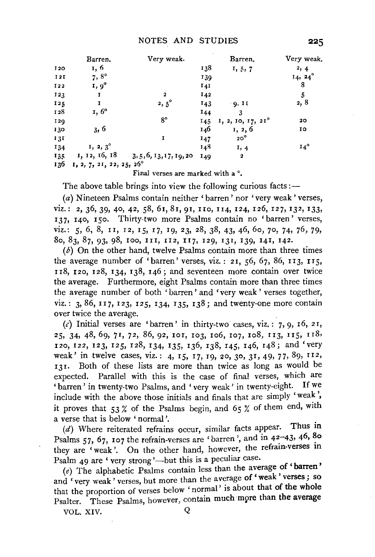|            | Barren.                  | Very weak.              |            | Barren.                    | Very weak.     |
|------------|--------------------------|-------------------------|------------|----------------------------|----------------|
| 120        | 1, 6                     |                         | 138        | 1, 5, 7                    | 2, 4           |
| <b>I2I</b> | $7,8^{\circ}$            |                         | 139        |                            | $14, 24^\circ$ |
| <b>I22</b> | $I, 9^\circ$             |                         | I4I        |                            | 8              |
| 123        | I                        | $\tilde{\mathbf{2}}$    | <b>142</b> |                            | 5              |
| 125        | I                        | $2,5^{\circ}$           | 143        | ÷9, II                     | 2, 8           |
| 128        | 1, 6°                    |                         | I44        | 3                          |                |
| 120        |                          | $8^{\circ}$             | 145        | $1, 2, 10, 17, 21^{\circ}$ | 20             |
| 130        | 3, 6                     |                         | 146        | 1, 2, 6                    | 10             |
| 131        |                          | $\mathbf I$             | 147        | $20^{\circ}$               |                |
| 134        | $1, 2, 3^{\circ}$        |                         | 148        | I, 4                       | $I4^0$         |
| 135        | 1, 12, 16, 18            | 3, 5, 6, 13, 17, 19, 20 | 149        | $\mathbf{2}$               |                |
| 136        | 1, 2, 7, 21, 22, 25, 26° |                         |            |                            |                |

Final verses are marked with a  $\degree$ .

The above table brings into view the following curious facts: $\frac{1}{1-\epsilon}$ 

(a) Nineteen Psalms contain neither 'barren' nor 'very weak' verses, viz.: 2, 36, 39, 40, 42, 58, 61, 81, 91, 110, 114, 124, 126, 127, 132, 133, 137, 140, 150. Thirty-two more Psalms contain no 'barren' verses, viz.: 5, 6, 8, 11, 12, 15, 17, 19, 23, 28, 38, 43, 46, 60, 70, 74, 76, 79, So, S3, S7, 93, 9S, loo, rrr, u2, rr7, 129, 131, 139, r4r, 142.

 $(b)$  On the other hand, twelve Psalms contain more than three times the average number of 'barren' verses, viz.: 21, 56, 67, 86, 113, 115, 118, 120, 128, 134, 138, 146; and seventeen more contain over twice the average. Furthermore, eight Psalms contain more than three times the average number of both 'barren' and 'very weak' verses together, viz.:  $3, 86, 117, 123, 125, 134, 135, 138$ ; and twenty-one more contain over twice the average.

(c) Initial verses are 'barren' in thirty-two cases, viz. :  $7, 9, 16, 21,$ 25, 34, 48, 69, 71, 72, 86, 92, 101, 103, 106, 107, 108, 113, 115, 118, 120, 122, 123, l2S, 128, 134, r3s, 136, 138, 145, 146, 14S; and 'very weak' in twelve cases, viz.: 4, 15, 17, 19, 20, 30, 31, 49, 77, 89, 112, 131. Both of these lists are more than twice as long as would be expected. Parallel with this is the case of final verses, which are 'barren' in twenty-two Psalms, and 'very weak' in twenty-eight. If we include with the above those initials and finals that are simply 'weak', it proves that 53% of the Psalms begin, and 65% of them end, with a verse that is below ' normal '.

(d) Where reiterated refrains occur, similar facts appear. Thus in Psalms 57, 67, 107 the refrain-verses are 'barren', and in 42-43, 46, 80 they are 'weak'. On the other hand, however, the refrain-verses in Psalm 49 are 'very strong'-but this is a peculiar case.

 $(e)$  The alphabetic Psalms contain less than the average of 'barren' and 'very weak' verses, but more than the average of 'weak' verses; so that the proportion of verses below 'normal' is about that of the whole parties proportion of verses below these  $\overline{\text{V}}$  and  $\overline{\text{V}}$  and  $\overline{\text{V}}$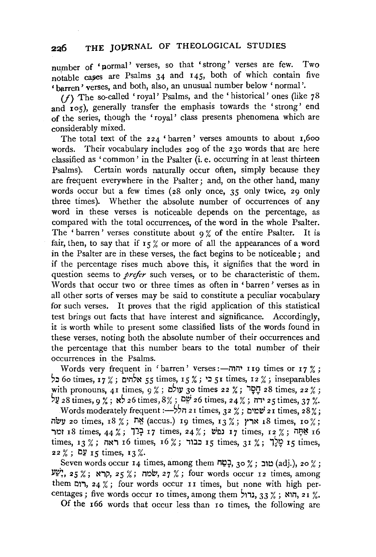number of 'normal' verses, so that 'strong' verses are few. Two notable cases are Psalms 34 and 145, both of which contain five  $\frac{1}{2}$  • harren' verses, and both, also, an unusual number below 'normal'.

(f) The so-called 'royal' Psalms, and the 'historical' ones (like  $78$ and 105), generally transfer the emphasis towards the 'strong' end of the series, though the 'royal' class presents phenomena which are considerably mixed.

The total text of the  $224$  'barren' verses amounts to about 1,600 words. Their vocabulary includes 200 of the 230 words that are here classified as 'common' in the Psalter (i. e. occurring in at least thirteen Psalms). Certain words naturally occur often, simply because they are frequent everywhere in the Psalter; and, on the other hand, many words occur but a few times (28 only once, 35 only twice, 29 only three times). Whether the absolute number of occurrences of any word in these verses is noticeable depends on the percentage, as compared with the total occurrences, of the word in the whole Psalter. The ' barren' verses constitute about  $\alpha$  % of the entire Psalter. It is fair, then, to say that if  $r \lesssim \frac{1}{6}$  or more of all the appearances of a word in the Psalter are in these verses, the fact begins to be noticeable ; and if the percentage rises much above this, it signifies that the word in question seems to *prefer* such verses, or to be characteristic of them. \Vords that occur two or three times as often in ' barren ' verses *as* in all other sorts of verses may be said to constitute a peculiar vocabulary for such verses. It proves that the rigid application of this statistical test brings out facts that have interest and significance. Accordingly, it is worth while to present some classified lists of the words found in these verses, noting both the absolute number of their occurrences and the percentage that this number bears to the total number of their occurrences in the Psalms.

 $W$ ords very frequent in 'barren' verses : $-i$ והוה $i$  119 times or 17 %; להים; 5% stimes, 15% ו-55 times, 15% להים with pronouns,  $41$  times,  $9\%$ ;  $\%$   $\%$  y  $\%$  times  $22\%$ ;  $\%$ ;  $\frac{1}{20}\%$   $28$  times,  $22\%$ ;  $\frac{1}{26}\%$   $26$  times,  $24\%$ ;  $\frac{1}{25}\%$   $25$  times,  $37\%$ .

 $\frac{1}{2}$  Words moderately frequent :-  $\frac{1}{2}$ תלל $\frac{1}{2}$  z 1 times, 28%; Mb'll 20 times, 18 % ; l"l~ (accus.) 19 times, 13 % ; }'iN 18 times, IO % ; זומר 18 times, 44 %; 117 times, 24 %; 129 times, 12 %; 17 times, 12  $t$ times, 13  $\%$ ; לְךְ  $t$ ן 16 times,  $16\%$ ; 15 times,  $31\%$ ;  $7\%$ ; 15 times,  $22 \%$ ; DV 15 times, 13%.

Seven words occur 14 times, among them פוב ; 30 %; ; .mords occur  $14$  times, among them  $\sqrt{2}$ , 30 %; רא 25 %; קרא, 25%; קרא, 25%; four words occur 12 times, among them רום, 24%; four words occur 11 times, but none with high percentages; five words occur 10 times, among them גדול, 33 %; Nn, 21 %.

Of the 166 words that occur less than 10 times, the following are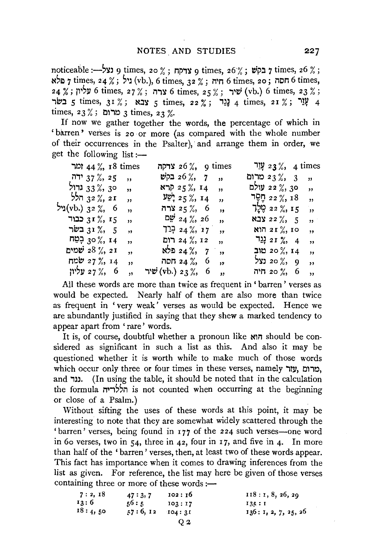noticeable :---יול 9 times, 20 % ; פרקה 9 ניאל 9 times, 26  $\%$ ;  $\,$ imes, 26  $\%$ ;  $\,$ ת מלא 7 times, 24 % ; (vb.), 6 times, 32 % ; חיה 6 times, 20; non 6 times, 24 %; 27% itimes, 27% (vb.)  $\frac{1}{2}$ ליון (vb.) 6 times, 23% ; יַצְר 5 times, 3 2 2 2 5 times, 2 2 2 5 5 times, 2 2 2 5 5 5 5 5 5 2 2 2 5 5  $\mu$  4  $times, 23\%$ ; מרום 3 times, 23 %.

If now we gather together the words, the percentage of which in 'barren' verses is 20 or more (as compared with the whole number of their occurrences in the Psalter), and arrange them in order, we get the following list :-

| ומר 44 %, 18 times         |                         | צדקה $26\%$ , g times                     | אָך 23%, 4 times                       |
|----------------------------|-------------------------|-------------------------------------------|----------------------------------------|
| ידה $37\%$ , $25$ ידה      |                         | $26\%$ , 7,                               | " 23%, 3 מרום                          |
| א 33 %, 30 $\,$ א, 30 $\,$ |                         | רא 25%, $14$ ,                            | 22 %, 30<br>$\overline{\mathbf{z}}$    |
| ,, 32 %, 21 הלל            |                         | שע 25%, $14$<br>$\overline{\mathbf{u}}$   | 18 ,22 <u>חֶסֶ</u> ד<br>$\overline{1}$ |
| גיל (vb.) $32\%$ , 6       | $\ddot{\phantom{a}}$    | רה $25\%$ , 6<br>$\cdot$                  | 22 %, 15<br>٠,                         |
| נבוד 31 $\%$ , 15          | $\overline{\mathbf{u}}$ | 24 %, 26<br>$\overline{\mathbf{r}}$       | 22%, 5<br>$\overline{\phantom{a}}$     |
| 3 ו <sup>2</sup> ו3 בשר    | $\ddot{\phantom{1}}$    | $724\%$ , $17$ ,                          | מוֹא 21 $\%$ , 10<br>,                 |
| 14, 30% בָטַח              | $\ddot{\phantom{1}}$    | 24 %, 22 רום<br>,                         | 21 %, 4<br>$\overline{\mathbf{u}}$     |
| 28 $\%$ , 21               | $\ddot{\phantom{0}}$    | ., 7 24% פלא                              | 20%, 14<br>,                           |
| 14, 27% שמח                | $\ddot{\phantom{1}}$    | חסה $24\%$ , 6<br>$\overline{\mathbf{r}}$ | 9, 20% נצל<br>,                        |
| $\frac{1}{2}$ 27%, 6       | ,,                      | שיר (vb.) $23\%$ , 6                      | 20 %, 6<br>, ,                         |

All these words are more than twice as frequent in 'barren' verses as would be expected. Nearly half of them are also more than twice as frequent in ' very weak' verses as would be expected. Hence we are abundantly justified in saying that they shew a marked tendency to appear apart from ' rare' words.

It is, of course, doubtful whether a pronoun like הוא should be considered as significant in such a list as this. And also it may be questioned whether it is worth while to make much of those words which occur only three or four times in these verses, namely ", מרום, and **ili,** (In using the table, it should be noted that in the calculation the formula הללו־יה is not counted when occurring at the beginning or close of a Psalm.)

Without sifting the uses of these words at this point, it may be interesting to note that they are somewhat widely scattered through the 'barren' verses, being found in 177 of the 224 such verses-one word in 60 verses, two in 54, three in 42, four in  $17$ , and five in 4. In more than half of the 'barren' verses, then, at least two of these words appear. This fact has importance when it comes to drawing inferences from the list as given. For reference, the list may here be given of those verses containing three or more of these words : $-$ 

7: 2, 18  $47:3,7$   $102:16$   $118:1, 8, 26, 29$  $13:6$   $13:6$   $16:5$   $103:17$   $13:1$ 13:6 f6:5 103:17 135:1<br>18:4, 50 f7:6, 12 104:31 136:1, 2, 7, 25, 26 *QZ*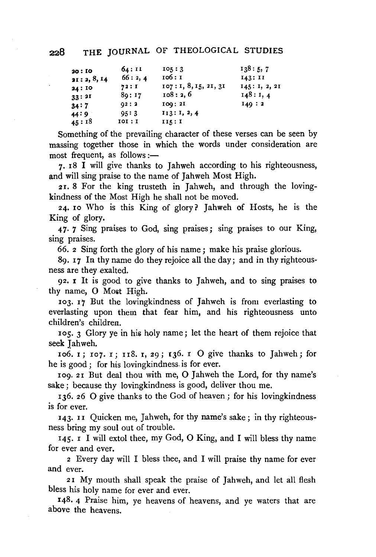| 30:10        | 64:11  | 105:3                     | 138:5,7       |
|--------------|--------|---------------------------|---------------|
| 21:2, 8, 14  | 66:2,4 | 106 : I                   | 143: II       |
| <b>24:IO</b> | 72:1   | 107:1, 8, 15, 21, 31      | I45: I, 2, 2I |
| 33:21        | 80:17  | 108:2,6                   | 148:1,4       |
| 34:7         | 92:2   | IOQ: 2I                   | 149:2         |
| 44:9         | 95:3   | I <sub>13</sub> : I, 2, 4 |               |
| 45:18        | IOI:I  | II <sub>5</sub> : I       |               |

Something of the prevailing character of these verses can be seen by massing together those in which the words under consideration are  $most$  frequent, as follows :-

7. 18 I will give thanks to Jahweh according to his righteousness, and will sing praise to the name of Jahweh Most High.

21. 8 For the king trusteth in Jahweh, and through the lovingkindness of the Most High he shall not be moved.

 $24.$  10 Who is this King of glory? Jahweh of Hosts, he is the King of glory.

4 7. 7 Sing praises to God, sing praises ; sing praises to our King, sing praises.

66. 2 Sing forth the glory of his name ; make his praise glorious.

89. 17 In thy name do they rejoice all the day; and in thy righteousness are they exalted.

92. **r** It is good to give thanks to Jahweh, and to sing praises to thy name, 0 Most High.

103. 17 But the lovingkindness of Jahweh is from everlasting to everlasting upon them that fear him, and his righteousness unto children's children.

105. 3 Glory ye in his holy name; let the heart of them rejoice that seek Jahweh.

106. 1; 107. 1; 118. 1, 29; 136. 1 O give thanks to Jahweh; for he is good; for his lovingkindness. is for ever.

109. 21 But deal thou with me, 0 Jahweh the Lord, for thy name's sake; because thy lovingkindness is good, deliver thou me.

136. 26 0 give thanks to the God of heaven; for his lovingkindness is for ever.

143· II Quicken me, Jahweh, for thy name's sake; in thy righteousness bring my soul out of trouble.

145· r I will extol thee, my God, 0 King, and I will bless thy name for ever and ever.

2 Every day will I bless thee, and I will praise thy name for ever and ever.

21 My mouth shall speak the praise of Jahweh, and let all flesh bless his holy name for ever and ever.

148. 4 Praise him, ye heavens of heavens, and ye waters that are above the heavens.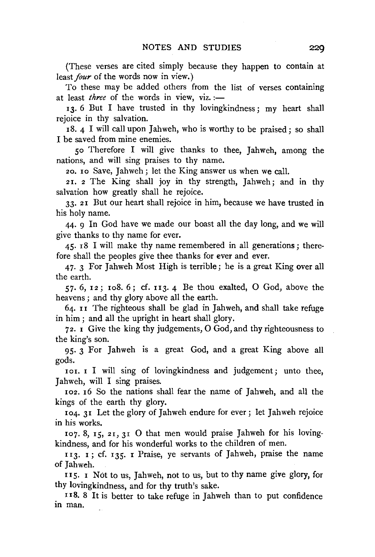(These verses are cited simply because they happen to contain at least *four* of the words now in view.)

To these may be added others from the list of verses containing at least *three* of the words in view, viz. :-

13. 6 But I have trusted in thy lovingkindness; my heart shall rejoice in thy salvation.

18. 4 I will call upon Jahweh, who is worthy to be praised; so shall I be saved from mine enemies.

50 Therefore I will give thanks to thee, Jahweh, among the nations, and will sing praises to thy name.

20. 10 Save, Jahweh; let the King answer us when we call.

21. 2 The King shall joy in thy strength, Jahweh; and in thy salvation how greatly shall he rejoice.

33. 2 1 But our heart shall rejoice in him, because we have trusted in his holy name.

44. 9 In God have we made our boast all the day long, and we will give thanks to thy name for ever.

45. 18 I will make thy name remembered in all generations; therefore shall the peoples give thee thanks for ever and ever.

47. 3 For Jahweh Most High is terrible; he is a great King over all the earth.

57. 6, 12; 108. 6; cf. 113. 4 Be thou exalted, 0 God, above the heavens; and thy glory above all the earth.

64. 11 The righteous shall be glad in Jahweh, and shall take refuge in him; and all the upright in heart shall glory.

72. 1 Give the king thy judgements, 0 God, and thy righteousness to the king's son.

95. 3 For Jahweh is a great God, and a great King above all gods.

101. 1 I will sing of lovingkindness and judgement; unto thee, Jahweh, will I sing praises.

102. 16 So the nations shall fear the name of Jahweh, and all the kings of the earth thy glory.

104. 31 Let the glory of Jahweh endure for ever; let Jahweh rejoice in his works.

107. 8, 15, 21, 31 0 that men would praise Jahweh for his lovingkindness, and for his wonderful works to the children of men.

113. 1; cf. 135. r Praise, ye servants of Jahweh, praise the name of Jahweh.

u5. 1 Not to us, Jahweh, not to us, but to thy name give glory, for thy lovingkindness, and for thy truth's sake.

 $118.8$  It is better to take refuge in Jahweh than to put confidence in man.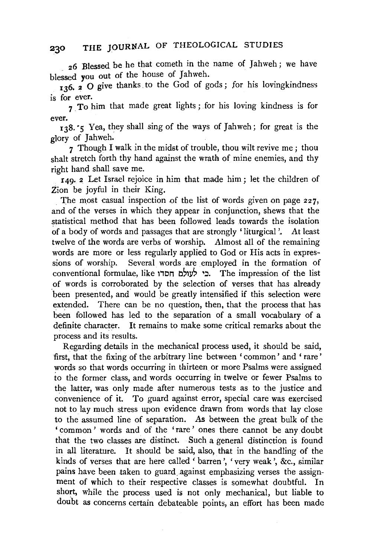26 Blessed be he that cometh in the name of Jahweh; we have blessed you out of the house of Jahweh.

<sup>13</sup>6. 2 O give thanks. to the God of gods ; *for* his lovingkindness is for ever.

7 To him that made great lights; for his loving kindness is for ever.

138. ·5 Yea, they shall sing of the ways of Jahweh; for great is the glory of Jahweh.

7 Though I walk in the midst of trouble, thou wilt revive me; thou shalt stretch forth thy hand against the wrath of mine enemies, and thy right hand shall save me.

 $I_{140}$ . 2 Let Israel rejoice in him that made him; let the children of Zion be joyful in their King.

The most casual inspection of the list of words given on page 227, and of the verses in which they appear in conjunction, shews that the statistical method that has been followed leads towards the isolation of a body of words and passages that are strongly 'liturgical '. At least twelve of the words are verbs of worship. Almost all of the remaining words are more or less regularly applied to God or His acts in expressions of worship. Several words are employed in the formation of conventional formulae, like בי לעולם חסדו. The impression of the list of words is corroborated by the selection of verses that has already been presented, and would be greatly intensified if this selection were extended. There can be no question, then, that the process that has been followed has led to the separation of a small vocabulary of a definite character. It remains to make some critical remarks about the process and its results.

Regarding details in the mechanical process used, it should be said, first, that the fixing of the arbitrary line between ' common' and ' rare' words so that words occurring in thirteen or more Psalms were assigned to the former class, and words occurring in twelve or fewer Psalms to the latter, was only made after numerous tests as to the justice and convenience of it. To guard against error, special care was exercised not to lay much stress upon evidence drawn from words that lay close to the assumed line of separation. As between the great bulk of the 'common ' words and of the 'rare' ones there cannot be any doubt that the two classes are distinct. Such a general distinction is found in all literature. It should be said, also, that in the handling of the kinds of verses that are here called ' barren', 'very weak', &c., similar pains have been taken to guard against emphasizing verses the assignment of which to their respective classes is somewhat doubtful. In short, while the process used is not only mechanical, but liable to doubt as concerns certain debateable points, an effort has been made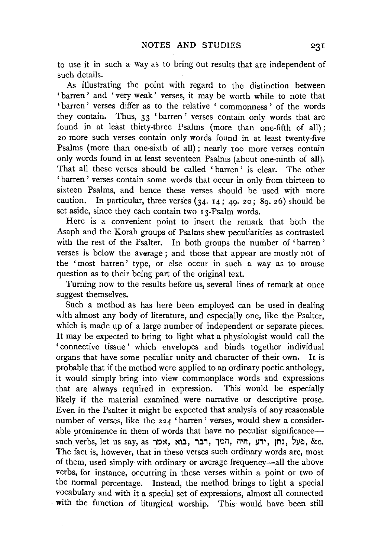to use it in such a way as to bring out results that are independent of such details.

As illustrating the point with regard to the distinction between 'barren ' and 'very weak' verses, it may be worth while to note that 'barren' verses differ as to the relative ' commonness ' of the words they contain. Thus, 33 'barren' verses contain only words that are found in at least thirty-three Psalms (more than one-fifth of all); 20 more such verses contain only words found in at least twenty-five Psalms (more than one-sixth of all); nearly 100 more verses contain only words found in at least seventeen Psalms (about one-ninth of all). That all these verses should be called ' barren' is clear. The other ' barren ' verses contain some words that occur in only from thirteen to sixteen Psalms, and hence these verses should be used with more caution. In particular, three verses  $(34. 14; 49. 20; 89. 26)$  should be set aside, since they each contain two 13-Psalm words.

Here is a convenient point to insert the remark that both the Asaph and the Korah groups of Psalms shew peculiarities as contrasted with the rest of the Psalter. In both groups the number of 'barren ' verses is below the average; and those that appear are mostly not of the 'most barren' type, or else occur in such a way as to arouse question as to their being part of the original text.

Turning now to the results before us, several lines of remark at once suggest themselves.

Such a method as has here been employed can be used in dealing with almost any body of literature, and especially one, like the Psalter, which is made up of a large number of independent or separate pieces. It may be expected to bring to light what a physiologist would call the ' connective tissue ' which envelopes and binds together individual organs that have some peculiar unity and character of their own. It is probable that if the method were applied to an ordinary poetic anthology, it would simply bring into view commonplace words and expressions that are always required in expression. This would be especially likely if the material examined were narrative or descriptive prose. Even in the Psalter it might be expected that analysis of any reasonable number of verses, like the 224 'barren' verses, would shew a considerable prominence in them of words that have no peculiar significance such verbs, let us say, as סעל, היה, המך, היה, המך, ידע,  $\&c$ c. The fact is, however, that in these verses such ordinary words are, most of them, used simply with ordinary or average frequency-all the above verbs, for instance, occurring in these verses within a point or two of the normal percentage. Instead, the method brings to light a special vocabulary and with it a special set of expressions, almost all connected · with the function of liturgical worship. This would have been still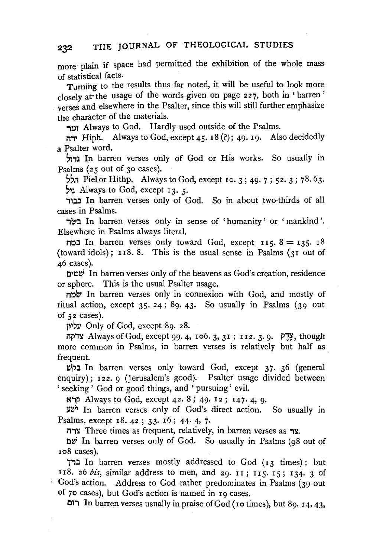more plain if space had permitted the exhibition of the whole mass of statistical facts.

Turning to the results thus far noted, it will be useful to look more closely at the usage of the words given on page 227, both in 'barren' . verses and elsewhere in the Psalter, since this will still further emphasize the character of the materials.

iot Always to God. Hardly used outside of the Psalms.

ירה Hiph. Always to God, except 45. 18(?); 49. 19. Also decidedly

a Psalter word.<br>נדול In barren verses only of God or His works. So usually in Psalms (25 out of 30 cases).<br>  $\frac{1}{2}$  Piel or Hithp. Always to God, except 10. 3; 49. 7; 52. 3; 78. 63.

''l Always to God, except 13. 5.

it::i:i In barren verses only of God. So in about two-thirds of all cases in Psalms.

ib'.::i In barren verses only in sense of 'humanity' or 'mankind'. Elsewhere in Psalms always literal.

במה In barren verses only toward God, except 115.  $8 = 135$ . 18 (toward idols); 118. 8. This is the usual sense in Psalms (31 out of 46 cases).

שמים In barren verses only of the heavens as God's creation, residence or sphere. This is the usual Psalter usage.

nob' In barren verses only in connexion with God, and mostly of ritual action, except 35. 24; 89. 43. So usually in Psalms (39 out of 52 cases).

jl''Y Only of God, except 89. 28.

צדקה<br/>Always of God, except 99. 4, 106. 3, 31; 112. 3. 9. P $\mathbb{R}^3$ , though more common in Psalms, in barren verses is relatively but half as frequent.

בקשׁIn barren verses only toward God, except  $37.36$  (general enquiry); 122. 9 (Jerusalem's good). Psalter usage divided between ' seeking ' God or good things, and ' pursuing ' evil.

totip Always to God, except 42. 8; 49. 12; 147. 4, 9.

l.'~' In barren verses only of God's direct action. So usually m Psalms, except 18. 42; 33. 16; 44· 4, 7·

צרה Three times as frequent, relatively, in barren verses as "צרה

 $\mathbb{D}^{\omega}$  In barren verses only of God. So usually in Psalms (98 out of 108 cases).

נרך In barren verses mostly addressed to God (13 times); but 118. 26 *bis,* similar address to men, and 29. II; 115. 15; 134. 3 of God's action. Address to God rather predominates in Psalms (39 out of 70 cases), but God's action is named in 19 cases.

רום In barren verses usually in praise of God (10 times), but 89. 14, 43,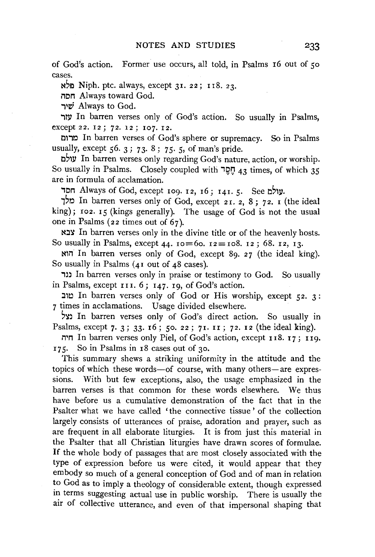of God's action. Former use occurs, all told, in Psalms r6 out of 50 cases.

N'!l Niph. ptc. always, except 31. 22; 118. 23.

non Always toward God.

i1ti Always to God.

itY In barren verses only of God's action. So usually in Psalms, except 22. 12; 72. i2; 107. 12.

tnir.i In barren verses of God's sphere or supremacy. So in Psalms usually, except 56. 3; 73. 8; 75. 5, of man's pride.

l:l'lY In barren verses only regarding God's nature, action, or worship. So usually in Psalms. Closely coupled with  $\frac{1}{2}$ ם 43 times, of which 35 are in formula of acclamation.

וולם Always of God, except 109. 12, 16; 141. 5. See ועולם.

מלך In barren verses only of God, except 21. 2, 8; 72. 1 (the ideal king); 102. 15 (kings generally). The usage of God is not the usual one in Psalms ( $22$  times out of  $67$ ).

N::!~ In barren verses only in the divine title or of the heavenly hosts. So usually in Psalms, except 44.  $10 = 60$ .  $12 = 108$ .  $12$ ; 68.  $12$ , 13.

Nln. In barren verses only of God, except 89. 27 (the ideal king). So usually in Psalms (41 out of 48 cases).

i~) In barren verses only in praise or testimony to God. So usually in Psalms, except III. 6; 147. 19, of God's action.

:ii~ In barren verses only of God or His worship, except 52. 3: 7 times in acclamations. Usage divided elsewhere.

'~) In barren verses only of God's direct action. So usually in Psalms, except 7. 3; 33. 16; 50. 22; 71. 11; 72. 12 (the ideal king).

n1n In barren verses only Piel, of God's action, except 118. 1 7 ; 119. 175. So in Psalms in 18 cases out of 30.

This summary shews a striking uniformity in the attitude and the topics of which these words-of course, with many others-are expressions. With but few exceptions, also, the usage emphasized in the barren verses is that common for these words elsewhere. We thus have before us a cumulative demonstration of the fact that in the Psalter what we have called 'the connective tissue ' of the collection largely consists of utterances of praise, adoration and prayer, such as are frequent in all elaborate liturgies. It is from just this material in the Psalter that all Christian liturgies have drawn scores of formulae. If the whole body of passages that are most closely associated with the type of expression before us were cited, it would appear that they embody so much of a general conception of God and of man in relation to God as to imply a theology of considerable extent, though expressed in terms suggesting actual use in public worship. There is usually the air of collective utterance, and even of that impersonal shaping that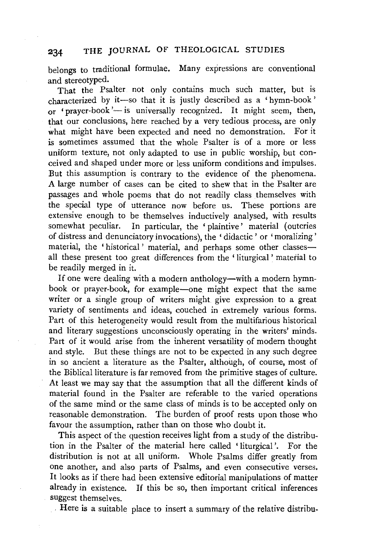belongs to traditional formulae. Many expressions are conventional and stereotyped.

That the Psalter not only contains much such matter, but is characterized by it-so that it is justly described as a 'hymn-book' or 'prayer-book'- is universally recognized. It might seem, then, that our conclusions, here reached by a very tedious process, are only what might have been expected and need no demonstration. For it is sometimes assumed that the whole Psalter is of a more or less uniform texture, not only adapted to use in public worship, but conceived and shaped under more or less uniform conditions and impulses. But this assumption is contrary to the evidence of the phenomena. A large number of cases can be cited to shew that in the Psalter are passages and whole poems that do not readily class themselves with the special type of utterance now before us. These portions are extensive enough to be themselves inductively analysed, with results somewhat peculiar. In particular, the 'plaintive' material (outcries of distress and denunciatory invocations), the 'didactic' or 'moralizing' material, the 'historical' material, and perhaps some other classesall these present too great differences from the ' liturgical ' material to be readily merged in it.

If one were dealing with a modern anthology-with a modern hymnbook or prayer-book, for example-one might expect that the same writer or a single group of writers might give expression to a great variety of sentiments and ideas, couched in extremely various forms. Part of this heterogeneity would result from the multifarious historical and literary suggestions unconsciously operating in the writers' minds. Part of it would arise from the inherent versatility of modern thought and style. But these things are not to be expected in any such degree in so ancient a literature as the Psalter, although, of course, most of the Biblical literature is far removed from the primitive stages of culture. At least we may say that the assumption that all the different kinds of material found in the Psalter are referable to the varied operations of the same mind or the same class of minds is to be accepted only on reasonable demonstration. The burden of proof rests upon those who favour the assumption, rather than on those who doubt it.

This aspect of the question receives light from a study of the distribution in the Psalter of the material here called 'liturgical'. For the distribution is not at all uniform. Whole Psalms differ greatly from one another, and also parts of Psalms, and even consecutive verses. It looks as if there had been extensive editorial manipulations of matter already in existence. If this be so, then important critical inferences suggest themselves.

. Here is a suitable place to insert a summary of the relative distribu-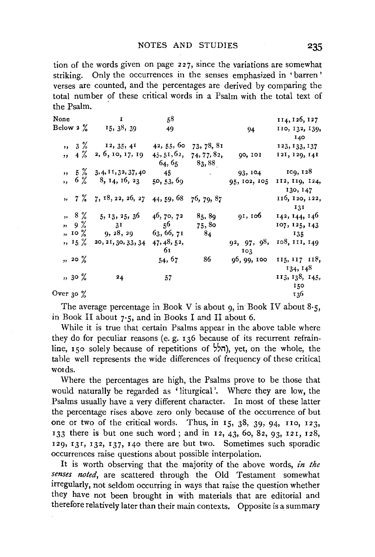tion of the words given on page 227, since the variations are somewhat striking. Only the occurrences in the senses emphasized in 'barren' verses are counted, and the percentages are derived by comparing the total number of these critical words in a Psalm with the total text of the Psalm.

| None      | L                                                                     | 58             |                         |                | 114, 126, 127             |
|-----------|-----------------------------------------------------------------------|----------------|-------------------------|----------------|---------------------------|
|           | Below $2\frac{9}{6}$ 15, 38, 39                                       | 49             |                         | 94             | 110, 132, 139,            |
|           |                                                                       |                |                         |                | 140                       |
| $, 3\%$   | $12, 35, 41$ $42, 55, 60$ $73, 78, 81$                                |                |                         |                | 123, 133, 137             |
|           | $, 4\%$ 2, 6, 10, 17, 19                                              |                | 45, 51, 62, 74, 77, 82, | <b>90, IOI</b> | 121, 120, 141             |
|           |                                                                       | $64, 65$ 83,88 |                         |                |                           |
|           | $, 5\%$ 3, 4, 11, 32, 37, 40                                          | 45             | $\sim 10^{11}$ $\mu$    | 93, 104        | 109, 128                  |
|           | $, 6\%$ 8, 14, 16, 23 50, 53, 69                                      |                |                         | 95, 102, 105   | 112, 119, 124,            |
|           |                                                                       |                |                         |                | 130, 147                  |
|           | $\frac{1}{2}$ 7 $\frac{2}{4}$ 7, 18, 22, 26, 27 44, 59, 68 76, 79, 87 |                |                         |                | 116, 120, 122,            |
|           |                                                                       |                |                         |                | 131                       |
|           | $, 8\%$ 5, 13, 25, 36 46, 70, 72                                      |                | $8_5, 8_9$              |                | 91, 106 142, 144, 146     |
| ,, 9%     | $3^{1}$ $5^{6}$                                                       |                | 75,80                   |                | 107, 125, 143             |
|           | ,, 10 $\frac{9}{6}$ 0, 28, 29 63, 66, 71                              |                | 8 <sub>4</sub>          |                | 135                       |
| , 15%     | 20, 21, 30, 33, 34 47, 48, 52,                                        |                |                         |                | 92, 97, 98, 108, 111, 149 |
|           |                                                                       | 61             |                         | $I \circ 3$    |                           |
| $, 20\%$  |                                                                       | 54, 67         | - 86                    |                | 96, 99, 100 115, 117 118, |
|           |                                                                       |                |                         |                | 134, 148                  |
| $, 30\%$  | 24                                                                    | 57             |                         |                | 113, 138, 145,            |
|           |                                                                       |                |                         |                | 150                       |
| Over 30 % |                                                                       |                |                         |                | 136                       |

The average percentage in Book V is about 9, in Book IV about 8-5, in Book II about 7·5, and in Books I and II about 6.

While it is true that certain Psalms appear in the above table where they do for peculiar reasons (e. g. 136 because of its recurrent refrainline, 150 solely because of repetitions of 'הלל), yet, on the whole, the table well represents the wide differences of frequency of these critical words.

Where the percentages are high, the Psalms prove to be those that would naturally be regarded as 'liturgical'. Where they are low, the Psalms usually have a very different character. In most of these latter the percentage rises above zero only because of the occurrence of but one or two of the critical words. Thus, in  $15, 38, 39, 94, 110, 123$ , 133 there is but one such word ; and in 12, 43, 60, 82, 93, 121, 128, 129, 131, 132, 137, 140 there are but two. Sometimes such sporadic occurrences raise questions about possible interpolation.

It is worth observing that the majority of the above words, *in the senses noted,* are scattered through the Old Testament somewhat irregularly, not seldom occurring in ways that raise the question whether they have not been brought in with materials that are editorial and therefore relatively later than their main contexts. Opposite is a summary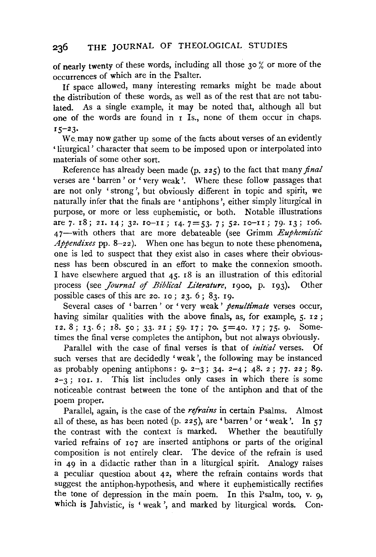of nearly twenty of these words, including all those 30 % or more of the occurrences of which are in the Psalter.

If space allowed, many interesting remarks might be made about the distribution of these words, as well as of the rest that are not tabulated. As a single example, it may be noted that, although all but one of the words are found in  $I$  Is., none of them occur in chaps.  $I5-23.$ 

We.may now gather up some of the facts about verses of an evidently 'liturgical' character that seem to be imposed upon or interpolated into materials of some other sort.

Reference has already been made (p. 225) to the fact that many *final*  verses are 'barren' or 'very weak'. Where these follow passages that are not only ' strong ', but obviously different in topic and spirit, we naturally infer that the finals are 'antiphons', either simply liturgical in purpose, or more or less euphemistic, or both. Notable illustrations are 7. 18; 21. 14; 32. 10-11; 14.  $7 = 53.7$ ; 52. 10-11; 79. 13; 106. 47-with others that are more debateable (see Grimm *Euphemistic Appendixes* pp. 8-22). When one has begun to note these phenomena, one is led to suspect that they exist also in cases where their obviousness has been obscured in an effort to make the connexion smooth. I have elsewhere argued that 45. 18 is an illustration of this editorial process (see *Journal of Biblical Literature,* 1900, p. 193). Other possible cases of this are 20. 10; 23. 6; 83. 19.

Several cases of ' barren ' or ' very weak ' *penultimate* verses occur, having similar qualities with the above finals, as, for example, 5. 12; 12. 8; 13. 6; 18. 50; 33. 21; 59. 17; 70.  $5 = 40.$  17; 75. 9. Sometimes the final verse completes the antiphon, but not always obviously.

Parallel with the case of final verses is that of *initial* verses. Of such verses that are decidedly 'weak ', the following may be instanced as probably opening antiphons:  $9.2 - 3$ ;  $34.2 - 4$ ;  $48.2$ ;  $77.22$ ;  $89.2$  $2-3$ ;  $101.$  I. This list includes only cases in which there is some noticeable contrast between the tone of the antiphon and that of the poem proper.

Parallel, again, is the case of the *refrains* in certain Psalms. Almost all of these, as has been noted (p. 225), are 'barren' or 'weak'. In  $57$ the contrast with the context is marked. Whether the beautifully varied refrains of 107 are inserted antiphons or parts of the original composition is not entirely clear. The device of the refrain is used in 49 in a didactic rather than in a liturgical spirit. Analogy raises a peculiar question about 42, where the refrain contains words that suggest the antiphon-hypothesis, and where it euphemistically rectifies the tone of depression in the main poem. In this Psalm, too, v. 9, which is Jahvistic, is 'weak', and marked by liturgical words. Con-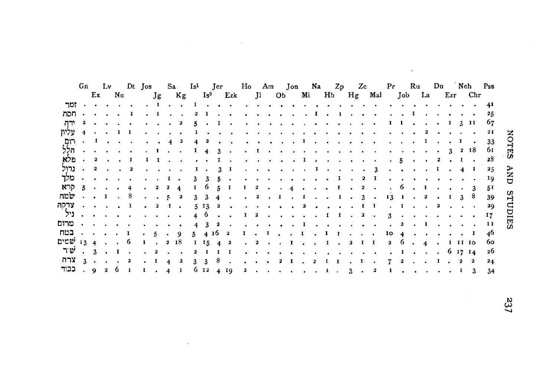|           |        |  |                                         | Gn Ly Dt Jos                                                             |                   |                                                                          |           |                                                     |              |                           | Sa Is <sup>1</sup> Jer Ho Am Jon Na Zp       |                |  |  |  |  | Zc     |                                                                                                                       | Pr |                                                                                                                 | Ru | Dn |  | Neh                          | Pss           |              |
|-----------|--------|--|-----------------------------------------|--------------------------------------------------------------------------|-------------------|--------------------------------------------------------------------------|-----------|-----------------------------------------------------|--------------|---------------------------|----------------------------------------------|----------------|--|--|--|--|--------|-----------------------------------------------------------------------------------------------------------------------|----|-----------------------------------------------------------------------------------------------------------------|----|----|--|------------------------------|---------------|--------------|
|           |        |  | Ex Nu                                   |                                                                          |                   |                                                                          |           |                                                     |              |                           | Jg Kg Is <sup>2</sup> Ezk Jl Ob Mi Hb Hg Mal |                |  |  |  |  |        |                                                                                                                       |    |                                                                                                                 |    |    |  | Job La Ezr Chr               |               |              |
| . זמר     |        |  |                                         |                                                                          |                   |                                                                          |           |                                                     |              |                           | . I I                                        |                |  |  |  |  | $\sim$ |                                                                                                                       |    |                                                                                                                 |    |    |  | $\cdot \cdot \cdot \cdot 4I$ |               |              |
| חסה       |        |  | $\cdots$ $\cdots$                       |                                                                          |                   |                                                                          |           | $\cdot$ I $\cdot$ $\cdot$ 2 I $\cdot$ $\cdot$       |              |                           |                                              | $\cdots$ I . I |  |  |  |  |        |                                                                                                                       |    | and the state of the state of the state of the state of the state of the state of the state of the state of the |    |    |  |                              | -25           |              |
| ירה       | -2     |  | $\cdot$ $\cdot$ $\cdot$ $\cdot$         |                                                                          |                   |                                                                          |           | $\cdot$ $\cdot$ $\cdot$ 2                           |              | $5 \cdot 1 \cdot$         |                                              |                |  |  |  |  |        | . <i>.</i> 1 1 1 3 II                                                                                                 |    |                                                                                                                 |    |    |  |                              | 67            |              |
| עליוו     |        |  | $4 \cdot \cdot \cdot 1$                 |                                                                          |                   |                                                                          |           |                                                     |              |                           |                                              |                |  |  |  |  |        |                                                                                                                       |    | $\cdots$ $\cdots$ $\cdots$                                                                                      |    |    |  |                              | 21            | z            |
| רום       |        |  |                                         | $\cdot$ I $\cdot$ $\cdot$ $\cdot$                                        |                   |                                                                          |           |                                                     |              |                           | . . 4 2 4 2 I I I .                          |                |  |  |  |  |        |                                                                                                                       |    |                                                                                                                 |    |    |  |                              | 33            | 0            |
| הלל       |        |  |                                         | $\mathbf{r}$ , $\mathbf{r}$ , $\mathbf{r}$ , $\mathbf{r}$ , $\mathbf{r}$ |                   |                                                                          |           | $\mathbf{I}$ . $\mathbf{I}$                         |              |                           | $1 \quad 4 \quad 3$                          |                |  |  |  |  |        | . I 3 2 18                                                                                                            |    |                                                                                                                 |    |    |  |                              | 61            | 固            |
| פלא       |        |  | $\cdot$ 2 $\cdot$ $\cdot$ I             |                                                                          |                   |                                                                          |           | $\mathbf{I}$ $\mathbf{I}$ $\mathbf{I}$ $\mathbf{I}$ |              |                           | . . I I 5 2 . I .                            |                |  |  |  |  |        |                                                                                                                       |    |                                                                                                                 |    |    |  |                              | 28            | m            |
| נדול      |        |  |                                         | $\cdot$ 2 $\cdot$ $\cdot$ 2                                              |                   |                                                                          |           | the contract of the contract of the contract of     |              | $1 \cdot 31$              |                                              |                |  |  |  |  |        | . I 3 I . 4 I                                                                                                         |    |                                                                                                                 |    |    |  |                              | $2.5^{\circ}$ | ⋗            |
| מכד       |        |  | $\cdot$ $\cdot$ $\cdot$ $\cdot$ $\cdot$ |                                                                          |                   |                                                                          |           | $\cdot$ $\cdot$ $\cdot$ $\cdot$ $\cdot$             |              | $3 \quad 3$               | $5 -$                                        |                |  |  |  |  |        |                                                                                                                       |    |                                                                                                                 |    |    |  |                              | 19            | Ħ            |
| קרא       | -5.    |  | $\cdots$ $4$                            |                                                                          |                   | $\cdot$ 2 2 4                                                            |           |                                                     |              | 1 6                       | 5 1 1 2 4 1 . 2 6 . 1 3                      |                |  |  |  |  |        |                                                                                                                       |    |                                                                                                                 |    |    |  |                              | 51            |              |
| nnw       |        |  |                                         | $\cdot$ $\cdot$ I $\cdot$ 8 $\cdot$ $\cdot$ 5                            |                   |                                                                          |           | $\mathbf{2}$                                        |              | $3 \quad 3$               | 4. . 2. I . I I . 3. 13 1 . 2. I 38          |                |  |  |  |  |        |                                                                                                                       |    |                                                                                                                 |    |    |  |                              | 39            | $\mathbf{u}$ |
| צרקה      |        |  | $\cdots$ $\cdots$                       |                                                                          | $\cdots$ $\cdots$ |                                                                          |           |                                                     |              |                           | 5 13 2 2 I I . I 2                           |                |  |  |  |  |        |                                                                                                                       |    |                                                                                                                 |    |    |  |                              | 20            |              |
| ניל       |        |  |                                         |                                                                          |                   |                                                                          |           |                                                     |              |                           | 4 6 I 2 I I . 2 .                            |                |  |  |  |  |        |                                                                                                                       |    | $3 \cdot \cdot \cdot \cdot \cdot \cdot \cdot$                                                                   |    |    |  |                              | 17            | ПE           |
| מרום      |        |  |                                         | the contract of the contract of the                                      |                   | $\mathbf{r}$ , $\mathbf{r}$ , $\mathbf{r}$ , $\mathbf{r}$ , $\mathbf{r}$ |           |                                                     |              |                           | 432. I 2 . 1                                 |                |  |  |  |  |        |                                                                                                                       |    |                                                                                                                 |    |    |  |                              | $\mathbf{I}$  |              |
| במח       |        |  | . I                                     |                                                                          | $\sim$ 5          |                                                                          | $\cdot$ 0 |                                                     |              | $5\quad 4\quad 16\quad 2$ |                                              |                |  |  |  |  |        | $\mathbf{I}$ , $\mathbf{I}$ , $\mathbf{I}$ , $\mathbf{I}$ , $\mathbf{I}$ , $\mathbf{I}$ , $\mathbf{I}$ , $\mathbf{I}$ |    | $10 \quad 4 \quad . \quad . \quad . \quad . \quad . \quad 1$                                                    |    |    |  |                              | 46            |              |
| 4 13 שמים |        |  | $\cdot$ 6                               |                                                                          | 1, 218            |                                                                          |           |                                                     |              | $1 \t15 \t4 \t2$          |                                              |                |  |  |  |  |        | . 2 I I . 2 I I                                                                                                       |    | $2 \quad 6 \quad . \quad 4 \quad .$                                                                             |    |    |  | $1$ II IO                    | 60.           |              |
| ש ר       |        |  |                                         | $\cdot$ 3 $\cdot$ 1 $\cdot$ $\cdot$ 2 $\cdot$ $\cdot$                    |                   |                                                                          |           |                                                     | $\mathbf{2}$ |                           | $I$ I                                        |                |  |  |  |  |        |                                                                                                                       |    | , I, , 61714                                                                                                    |    |    |  |                              | 26            |              |
| צרה       |        |  | 3. 2                                    |                                                                          | $\mathbf{I}$      |                                                                          |           | $\overline{\mathbf{a}}$                             |              | 3 <sub>3</sub>            | 8.                                           |                |  |  |  |  |        | . 2 I . 2 I I . I .                                                                                                   |    | $7 \t2 \t1 \t1 \t2 \t2$                                                                                         |    |    |  |                              | 24            |              |
| כבוד      | $\sim$ |  |                                         | 92611.41                                                                 |                   |                                                                          |           |                                                     |              | 6 12                      | 4 19 2 1 . 3 . 2 1 1 3                       |                |  |  |  |  |        |                                                                                                                       |    |                                                                                                                 |    |    |  |                              | 34            |              |

 $\label{eq:2.1} \frac{1}{2} \int_{\mathbb{R}^3} \left| \frac{d\mu}{d\mu} \right| \, d\mu = \frac{1}{2} \int_{\mathbb{R}^3} \left| \frac{d\mu}{d\mu} \right| \, d\mu = \frac{1}{2} \int_{\mathbb{R}^3} \left| \frac{d\mu}{d\mu} \right| \, d\mu = \frac{1}{2} \int_{\mathbb{R}^3} \left| \frac{d\mu}{d\mu} \right| \, d\mu = \frac{1}{2} \int_{\mathbb{R}^3} \left| \frac{d\mu}{d\mu} \right| \, d\mu = \$ 

 $\mathcal{L}(\mathcal{L}^{\text{max}}_{\mathcal{L}^{\text{max}}_{\mathcal{L}^{\text{max}}_{\mathcal{L}^{\text{max}}_{\mathcal{L}^{\text{max}}_{\mathcal{L}^{\text{max}}_{\mathcal{L}^{\text{max}}_{\mathcal{L}^{\text{max}}_{\mathcal{L}^{\text{max}}_{\mathcal{L}^{\text{max}}_{\mathcal{L}^{\text{max}}_{\mathcal{L}^{\text{max}}_{\mathcal{L}^{\text{max}}_{\mathcal{L}^{\text{max}}_{\mathcal{L}^{\text{max}}_{\mathcal{L}^{\text{max}}_{\mathcal{L}$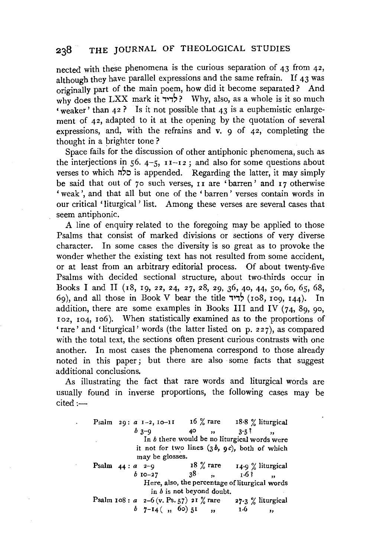nected with these phenomena is the curious separation of 43 from 42, although they have parallel expressions and the same refrain. If  $43$  was originally part of the main poem, how did it become separated? And why does the LXX mark it  $\tau$ לדיד? Why, also, as a whole is it so much  $\cdot$  weaker' than 42 ? Is it not possible that 43 is a euphemistic enlargement of 42, adapted to it at the opening by the quotation of several expressions, and, with the refrains and  $v$ ,  $g$  of  $42$ , completing the thought in a brighter tone ?

Space fails for the discussion of other antiphonic phenomena, such as the interjections in 56.  $4-5$ ,  $11-12$ ; and also for some questions about verses to which  $\sigma$ לה is appended. Regarding the latter, it may simply be said that out of 70 such verses,  $I$  r are 'barren' and  $I$ 7 otherwise ' weak ', and that all but one of the ' barren ' verses contain words in our critical 'liturgical ' list. Among these verses are several cases that seem antiphonic.

A line of enquiry related to the foregoing may be applied to those Psalms that consist of marked divisions or sections of very diverse character. In some cases the diversity is so great as to provoke the wonder whether the existing text has not resulted from some accident, or at least from an arbitrary editorial process. Of about twenty-five Psalms with decided sectional structure, about two-thirds occur in Books I and II (r8, r9, 22, 24, 27, 28, 29, 36, 40, 44, 50, 60, 65, 68, 69), and all those in Book V bear the title  $\forall$ rיר (108, 109, 144). In addition, there are some examples in Books III and IV  $(74, 89, 90, 100)$ 102, 104, 106). When statistically examined as to the proportions of 'rare' and 'liturgical' words (the latter listed on p. 227), as compared with the total text, the sections often present curious contrasts with one another. In most cases the phenomena correspond to those already noted in this paper ; but there are also some facts that suggest additional conclusions.

As illustrating the fact that rare words and liturgical words are usually found in inverse proportions, the following cases may be  $cited:$ 

| Psalm 29: $a$ I-2, IO-II                              |                             | 16 % rare 18.8 % liturgical                     |
|-------------------------------------------------------|-----------------------------|-------------------------------------------------|
| $b - 3 - 9$                                           | 40 <sup>o</sup>             | $2.5$ ?                                         |
|                                                       |                             | In b there would be no liturgical words were    |
|                                                       |                             | it not for two lines $(3b, 9c)$ , both of which |
| may be glosses.                                       |                             |                                                 |
| Psalm $44: a \t 2-9$                                  |                             | 18 % rare $14.9$ % liturgical                   |
| $b \t10-27$ $38$ , $1.6$ ?                            |                             |                                                 |
|                                                       |                             | Here, also, the percentage of liturgical words  |
|                                                       | in $b$ is not beyond doubt. |                                                 |
| Psalm $108: a \quad 2-6(v. \text{Ps. } 57)$ 21 % rare |                             | $27.3$ % liturgical                             |
| $b$ 7-14(, 60) 51,                                    |                             | 1.6<br>,,                                       |
|                                                       |                             |                                                 |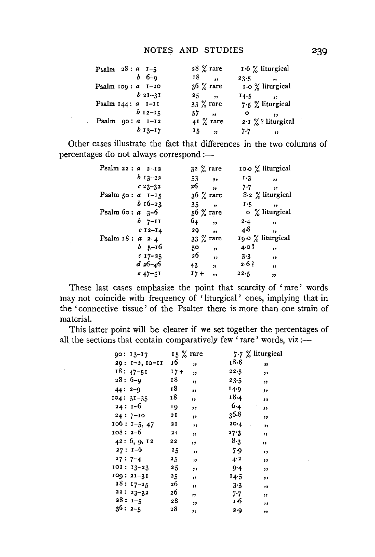#### NOTES AND STUDIES 239

| Psalm $28: a$ 1-5      | $28\%$ rare  | $1.6$ % liturgical              |
|------------------------|--------------|---------------------------------|
| $b\leftarrow 6-\alpha$ | $18$ ,       | $23.5$ ,                        |
| Psalm 109: $a$ 1-20    | $36\%$ rare  | 2.0 % liturgical                |
| $b_{21-31}$            | 25, , ,      | $14.5$ ,                        |
| Psalm $144: a$ $I-II$  | $33 \%$ rare | $7.5$ % liturgical              |
| $b_{12-15}$            | 57,          | ۰<br>$\cdots$                   |
| Psalm $90: a$ $1-12$   | $41\%$ rare  | $2 \cdot I \times ?$ liturgical |
| $b_{13-17}$            | 15, ,        | $7.7$ ,                         |

Other cases illustrate the fact that differences in the two columns of percentages do not always correspond :-

| Psalm $22 : a \ 2-12$   | $32 \frac{9}{6}$ rare            | 100 % liturgical  |
|-------------------------|----------------------------------|-------------------|
| $b_{13-22}$             | 53<br>$\overline{\mathbf{z}}$    | 1.3<br>, 1        |
| $c23 - 32$              | 26<br>,                          | 7.7<br>, ,        |
| Psalm $50: a$ $1-15$    | $36\%$ rare                      | 8.2 % liturgical  |
| $b 16 - 23$             | 35.<br>$, \cdot$                 | I·5<br>,          |
| Psalm $60: a \quad 3-6$ | $56\%$ rare                      | o % liturgical    |
| $b$ 7-11                | 64<br>$\overline{\mathbf{z}}$    | 2.4<br>,          |
| $cI2-I4$                | 29<br>$\bullet$                  | 4.8<br>,,         |
| Psalm $18: a_{2-4}$     | $33\%$ rare                      | 19.0 % liturgical |
| $b - 5 - 16$            | 50<br>$\boldsymbol{\mathcal{D}}$ | 4.0 ?<br>,        |
| $c 17 - 25$             | 26<br>$\overline{\mathbf{z}}$    | 3.3<br>,,         |
| $d26 - 46$              | 43<br>"                          | 2.6?<br>, ,       |
| $e47 - 51$              | $17 +$<br>,,                     | 22.5<br>,,        |
|                         |                                  |                   |

These last cases emphasize the point that scarcity of 'rare' words may not coincide with frequency of 'liturgical' ones, implying that in the 'connective tissue' of the Psalter there is more than one strain of material.

This latter point will be clearer if we set together the percentages of all the sections that contain comparatively few 'rare' words, viz :-

| 90: 13–17      | $15 \%$ rare |            |          | $7.7o$ liturgical |
|----------------|--------------|------------|----------|-------------------|
| 29: I-2, IO-II | 16           | ,          | 18.8     | ,,                |
| $18:47-51$     | $17 +$       | $^{\circ}$ | 22.5     | ,,                |
| $28:6-9$       | 18           | ,,         | 23.5     | ,,                |
| $44:2-9$       | 18           | ,,         | 14.9     | ,,                |
| $104: 31-35$   | 18           | ,,         | 18.4     | ,,                |
| $24:1-6$       | 19           | ,,         | $6 - 4$  | ,,                |
| $24:7-10$      | 2I           | ,,         | 36.8     | ,,                |
| $106: I-5, 47$ | 2I           | ,,         | $20.4 -$ | , ,               |
| 108:2-6        | 2I           | ,,         | 27.3     | "                 |
| 42:6,9,12      | 22           | "          | 8.3      | ,,                |
| $27: I-6$      | -25          | ,,         | 7.9      | ,,                |
| $27:7-4$       | 25           | ,,         | 4.2      | ,,                |
| $102: 13 - 23$ | $25^{\circ}$ | ,,         | 9.4      | ,,                |
| $100: 21 - 31$ | 25           | ,,         | 14.5     | , ,               |
| $18:17-25$     | 26           | ,,         | 3.3      | ,                 |
| $22: 23 - 32$  | 26           | ,,         | 7.7      | "                 |
| $28: I-5$      | 28           | ,          | 1.6      | ,,                |
| $36:2 - 5$     | 28           | ,,         | 2.9      | "                 |
|                |              |            |          |                   |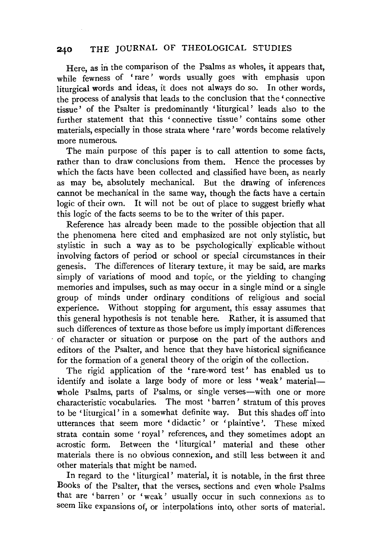Here, as in the comparison of the Psalms as wholes, it appears that, while fewness of 'rare' words usually goes with emphasis upon liturgical words and ideas, it does not always do so. In other words, the process of analysis that leads to the conclusion that the ' connective tissue' of the Psalter is predominantly 'liturgical' leads also to the further statement that this ' connective tissue' contains some other materials, especially in those strata where 'rare' words become relatively more numerous.

The main purpose of this paper is to call attention to some facts, rather than to draw conclusions from them. Hence the processes by which the facts have been collected and classified have been, as nearly as may be, absolutely mechanical. But the drawing of inferences cannot be mechanical in the same way, though the facts have a certain logic of their own. It will not be out of place to suggest briefly what this logic of the facts seems to be to the writer of this paper.

Reference has already been made to the possible objection that all the phenomena here cited and emphasized are not only stylistic, but stylistic in such a way as to be psychologically explicable without involving factors of period or school or special circumstances in their genesis. The differences of literary texture, it may be said, are marks simply of variations of mood and topic, or the yielding to changing memories and impulses, such as may occur in a single mind or a single group of minds under ordinary conditions of religious and social experience. Without stopping for argument, this essay assumes that this general hypothesis is not tenable here. Rather, it is assumed that such differences of texture as those before us imply important differences of character or situation or purpose on the part of the authors and editors of the Psalter, and hence that they have historical significance for the formation of a general theory of the origin of the collection.

The rigid application of the 'rare-word test' has enabled us to identify and isolate a large body of more or less 'weak' materialwhole Psalms, parts of Psalms, or single verses-with one or more characteristic vocabularies. The most ' barren ' stratum of this proves to be 'liturgical' in a somewhat definite way. But this shades off into utterances that seem more 'didactic' or 'plaintive'. These mixed strata contain some 'royal' references, and they sometimes adopt an acrostic form. Between the 'liturgical' material and these other materials there is no obvious connexion, and still less between it and other materials that might be named.

In regard to the 'liturgical' material, it is notable, in the first three Books of the Psalter, that the verses, sections and even whole Psalms that are 'barren' or 'weak' usually occur in such connexions as to seem like expansions of, or interpolations into, other sorts of material.